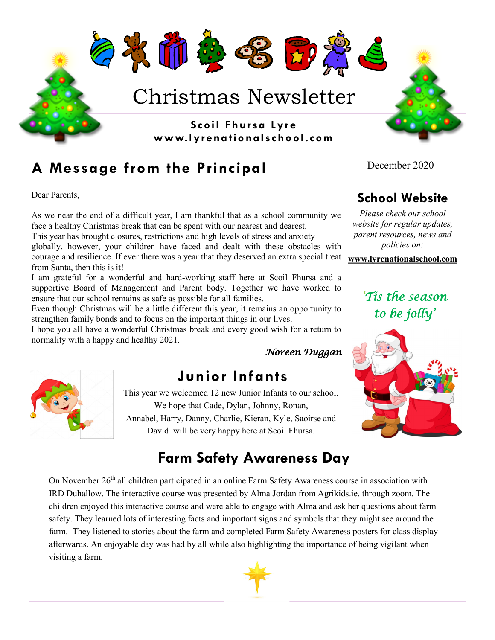

## **A Message from the Principal**

Dear Parents,

As we near the end of a difficult year, I am thankful that as a school community we face a healthy Christmas break that can be spent with our nearest and dearest.

This year has brought closures, restrictions and high levels of stress and anxiety globally, however, your children have faced and dealt with these obstacles with courage and resilience. If ever there was a year that they deserved an extra special treat from Santa, then this is it!

I am grateful for a wonderful and hard-working staff here at Scoil Fhursa and a supportive Board of Management and Parent body. Together we have worked to ensure that our school remains as safe as possible for all families.

Even though Christmas will be a little different this year, it remains an opportunity to strengthen family bonds and to focus on the important things in our lives.

I hope you all have a wonderful Christmas break and every good wish for a return to normality with a happy and healthy 2021.

#### *Noreen Duggan*

## **Junior Infants**

This year we welcomed 12 new Junior Infants to our school. We hope that Cade, Dylan, Johnny, Ronan, Annabel, Harry, Danny, Charlie, Kieran, Kyle, Saoirse and David will be very happy here at Scoil Fhursa.

# **Farm Safety Awareness Day**

On November 26<sup>th</sup> all children participated in an online Farm Safety Awareness course in association with IRD Duhallow. The interactive course was presented by Alma Jordan from Agrikids.ie. through zoom. The children enjoyed this interactive course and were able to engage with Alma and ask her questions about farm safety. They learned lots of interesting facts and important signs and symbols that they might see around the farm. They listened to stories about the farm and completed Farm Safety Awareness posters for class display afterwards. An enjoyable day was had by all while also highlighting the importance of being vigilant when visiting a farm.



December 2020

## **School Website**

*Please check our school website for regular updates, parent resources, news and policies on:*

**www.lyrenationalschool.com**

*'Tis the season to be jolly'*